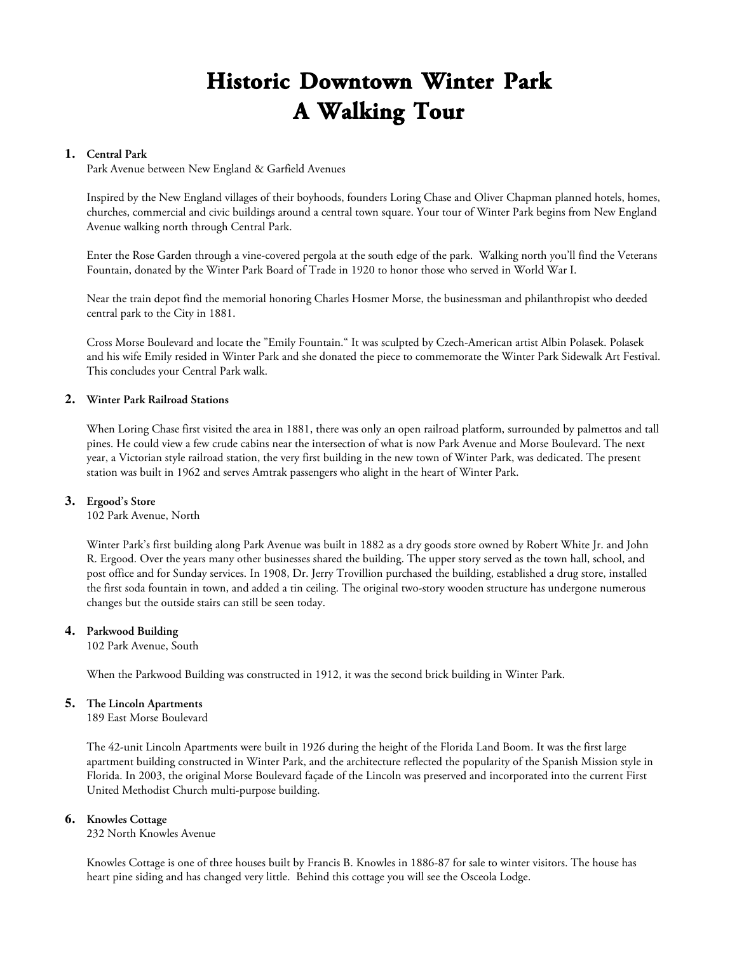# **Historic Downtown Winter Park A Walking Tour**

## **1. Central Park**

Park Avenue between New England & Garfield Avenues

Inspired by the New England villages of their boyhoods, founders Loring Chase and Oliver Chapman planned hotels, homes, churches, commercial and civic buildings around a central town square. Your tour of Winter Park begins from New England Avenue walking north through Central Park.

Enter the Rose Garden through a vine-covered pergola at the south edge of the park. Walking north you'll find the Veterans Fountain, donated by the Winter Park Board of Trade in 1920 to honor those who served in World War I.

Near the train depot find the memorial honoring Charles Hosmer Morse, the businessman and philanthropist who deeded central park to the City in 1881.

Cross Morse Boulevard and locate the "Emily Fountain." It was sculpted by Czech-American artist Albin Polasek. Polasek and his wife Emily resided in Winter Park and she donated the piece to commemorate the Winter Park Sidewalk Art Festival. This concludes your Central Park walk.

## **2. Winter Park Railroad Stations**

When Loring Chase first visited the area in 1881, there was only an open railroad platform, surrounded by palmettos and tall pines. He could view a few crude cabins near the intersection of what is now Park Avenue and Morse Boulevard. The next year, a Victorian style railroad station, the very first building in the new town of Winter Park, was dedicated. The present station was built in 1962 and serves Amtrak passengers who alight in the heart of Winter Park.

#### **3. Ergood's Store**

102 Park Avenue, North

Winter Park's first building along Park Avenue was built in 1882 as a dry goods store owned by Robert White Jr. and John R. Ergood. Over the years many other businesses shared the building. The upper story served as the town hall, school, and post office and for Sunday services. In 1908, Dr. Jerry Trovillion purchased the building, established a drug store, installed the first soda fountain in town, and added a tin ceiling. The original two-story wooden structure has undergone numerous changes but the outside stairs can still be seen today.

#### **4. Parkwood Building**

102 Park Avenue, South

When the Parkwood Building was constructed in 1912, it was the second brick building in Winter Park.

# **5. The Lincoln Apartments**

189 East Morse Boulevard

The 42-unit Lincoln Apartments were built in 1926 during the height of the Florida Land Boom. It was the first large apartment building constructed in Winter Park, and the architecture reflected the popularity of the Spanish Mission style in Florida. In 2003, the original Morse Boulevard façade of the Lincoln was preserved and incorporated into the current First United Methodist Church multi-purpose building.

#### **6. Knowles Cottage**

232 North Knowles Avenue

Knowles Cottage is one of three houses built by Francis B. Knowles in 1886-87 for sale to winter visitors. The house has heart pine siding and has changed very little. Behind this cottage you will see the Osceola Lodge.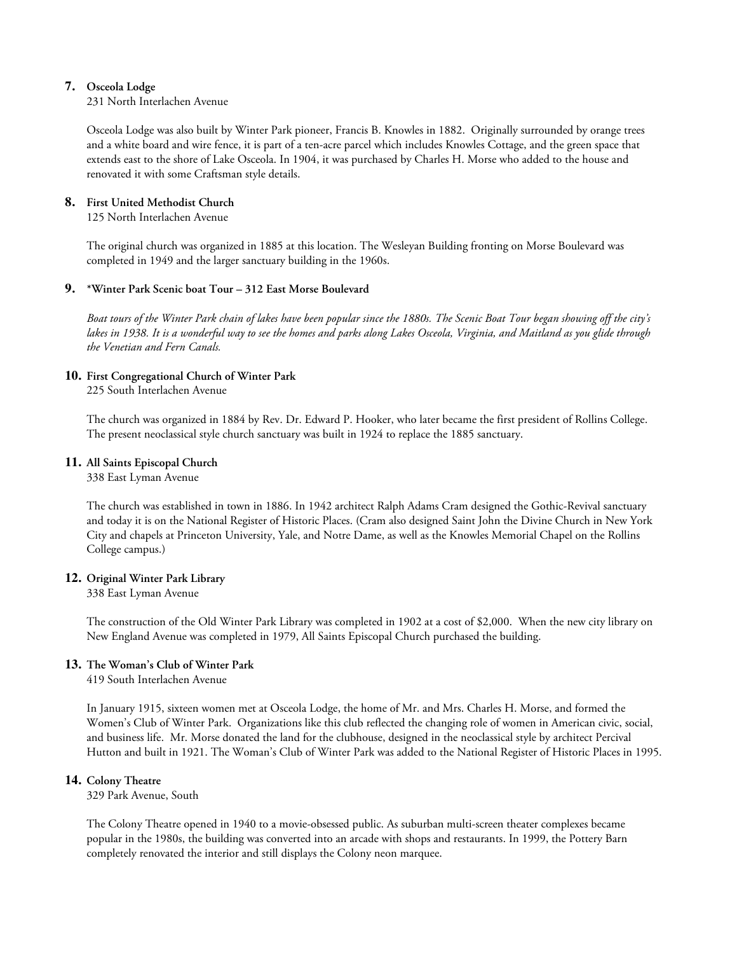# **7. Osceola Lodge**

231 North Interlachen Avenue

Osceola Lodge was also built by Winter Park pioneer, Francis B. Knowles in 1882. Originally surrounded by orange trees and a white board and wire fence, it is part of a ten-acre parcel which includes Knowles Cottage, and the green space that extends east to the shore of Lake Osceola. In 1904, it was purchased by Charles H. Morse who added to the house and renovated it with some Craftsman style details.

# **8. First United Methodist Church**

125 North Interlachen Avenue

The original church was organized in 1885 at this location. The Wesleyan Building fronting on Morse Boulevard was completed in 1949 and the larger sanctuary building in the 1960s.

## **9. \*Winter Park Scenic boat Tour – 312 East Morse Boulevard**

*Boat tours of the Winter Park chain of lakes have been popular since the 1880s. The Scenic Boat Tour began showing off the city's lakes in 1938. It is a wonderful way to see the homes and parks along Lakes Osceola, Virginia, and Maitland as you glide through the Venetian and Fern Canals.*

# **10. First Congregational Church of Winter Park**

225 South Interlachen Avenue

The church was organized in 1884 by Rev. Dr. Edward P. Hooker, who later became the first president of Rollins College. The present neoclassical style church sanctuary was built in 1924 to replace the 1885 sanctuary.

## **11. All Saints Episcopal Church**

338 East Lyman Avenue

The church was established in town in 1886. In 1942 architect Ralph Adams Cram designed the Gothic-Revival sanctuary and today it is on the National Register of Historic Places. (Cram also designed Saint John the Divine Church in New York City and chapels at Princeton University, Yale, and Notre Dame, as well as the Knowles Memorial Chapel on the Rollins College campus.)

# **12. Original Winter Park Library**

338 East Lyman Avenue

The construction of the Old Winter Park Library was completed in 1902 at a cost of \$2,000. When the new city library on New England Avenue was completed in 1979, All Saints Episcopal Church purchased the building.

# **13. The Woman's Club of Winter Park**

419 South Interlachen Avenue

In January 1915, sixteen women met at Osceola Lodge, the home of Mr. and Mrs. Charles H. Morse, and formed the Women's Club of Winter Park. Organizations like this club reflected the changing role of women in American civic, social, and business life. Mr. Morse donated the land for the clubhouse, designed in the neoclassical style by architect Percival Hutton and built in 1921. The Woman's Club of Winter Park was added to the National Register of Historic Places in 1995.

#### **14. Colony Theatre**

329 Park Avenue, South

The Colony Theatre opened in 1940 to a movie-obsessed public. As suburban multi-screen theater complexes became popular in the 1980s, the building was converted into an arcade with shops and restaurants. In 1999, the Pottery Barn completely renovated the interior and still displays the Colony neon marquee.